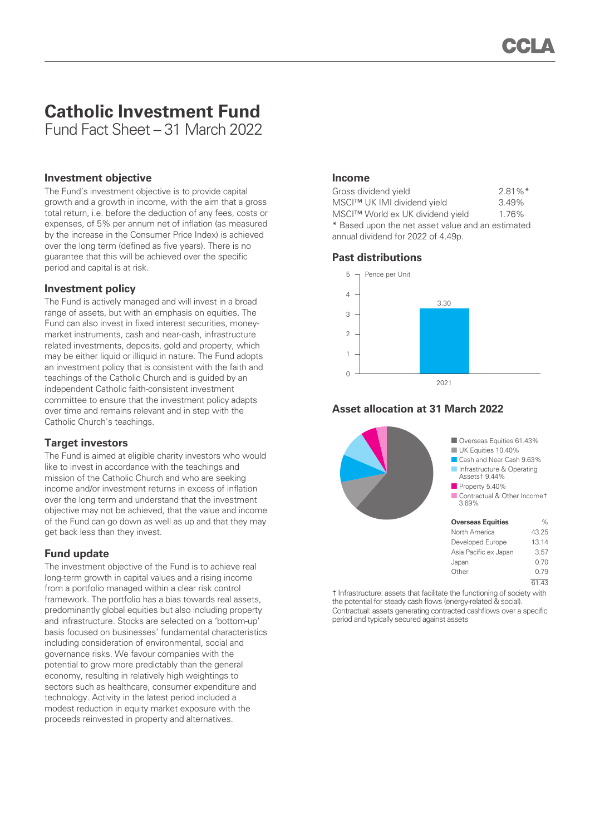# **Catholic Investment Fund**

Fund Fact Sheet – 31 March 2022

#### **Investment objective**

The Fund's investment objective is to provide capital growth and a growth in income, with the aim that a gross total return, i.e. before the deduction of any fees, costs or expenses, of 5% per annum net of inflation (as measured by the increase in the Consumer Price Index) is achieved over the long term (defined as five years). There is no guarantee that this will be achieved over the specific period and capital is at risk.

#### **Investment policy**

The Fund is actively managed and will invest in a broad range of assets, but with an emphasis on equities. The Fund can also invest in fixed interest securities, moneymarket instruments, cash and near-cash, infrastructure related investments, deposits, gold and property, which may be either liquid or illiquid in nature. The Fund adopts an investment policy that is consistent with the faith and teachings of the Catholic Church and is guided by an independent Catholic faith-consistent investment committee to ensure that the investment policy adapts over time and remains relevant and in step with the Catholic Church's teachings.

# **Target investors**

The Fund is aimed at eligible charity investors who would like to invest in accordance with the teachings and mission of the Catholic Church and who are seeking income and/or investment returns in excess of inflation over the long term and understand that the investment objective may not be achieved, that the value and income of the Fund can go down as well as up and that they may get back less than they invest.

## **Fund update**

The investment objective of the Fund is to achieve real long-term growth in capital values and a rising income from a portfolio managed within a clear risk control framework. The portfolio has a bias towards real assets, predominantly global equities but also including property and infrastructure. Stocks are selected on a 'bottom-up' basis focused on businesses' fundamental characteristics including consideration of environmental, social and governance risks. We favour companies with the potential to grow more predictably than the general economy, resulting in relatively high weightings to sectors such as healthcare, consumer expenditure and technology. Activity in the latest period included a modest reduction in equity market exposure with the proceeds reinvested in property and alternatives.

#### **Income**

| Gross dividend yield                              | $2.81\%$ <sup>*</sup> |  |  |  |
|---------------------------------------------------|-----------------------|--|--|--|
| MSCI™ UK IMI dividend yield                       | 3.49%                 |  |  |  |
| MSCI™ World ex UK dividend yield                  | 1.76%                 |  |  |  |
| * Based upon the net asset value and an estimated |                       |  |  |  |
| annual dividend for 2022 of 4.49p.                |                       |  |  |  |

## **Past distributions**



## **Asset allocation at 31 March 2022**



† Infrastructure: assets that facilitate the functioning of society with the potential for steady cash flows (energy-related & social). Contractual: assets generating contracted cashflows over a specific period and typically secured against assets